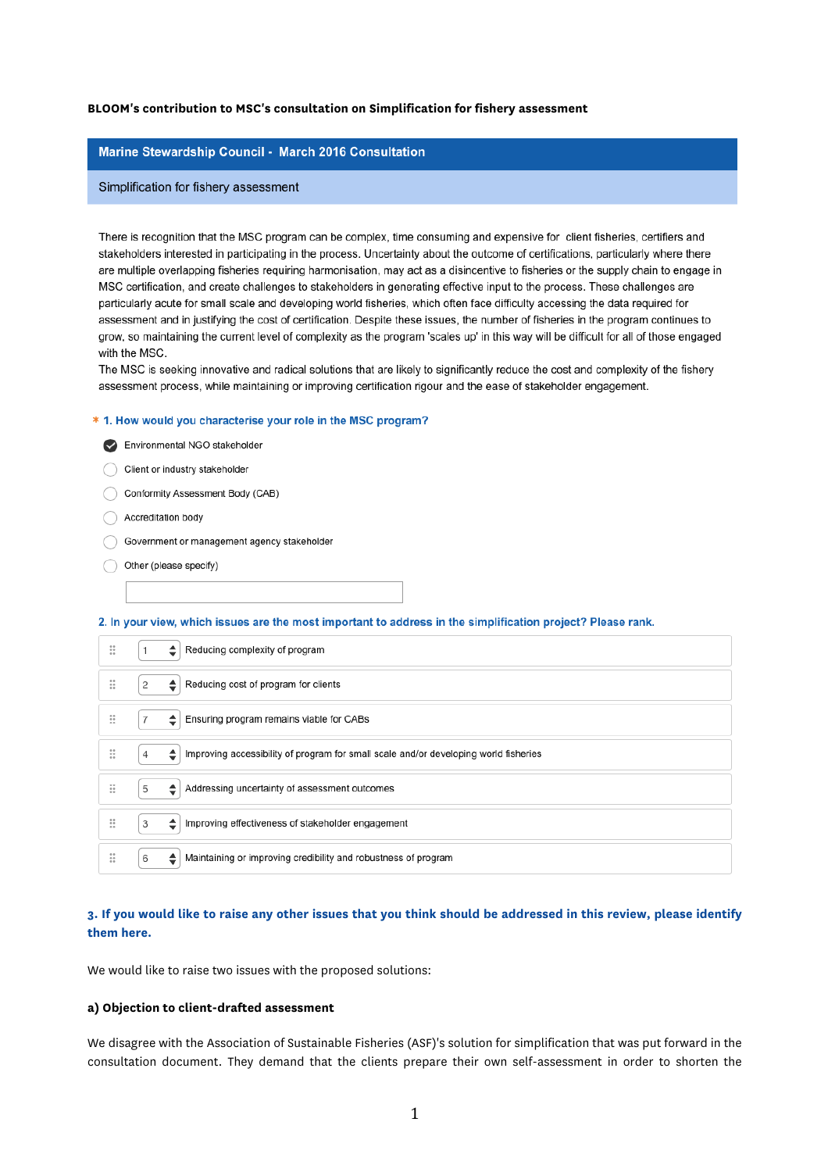#### **BLOOM's contribution to MSC's consultation on Simplification for fishery assessment**

#### Marine Stewardship Council - March 2016 Consultation

#### Simplification for fishery assessment

There is recognition that the MSC program can be complex, time consuming and expensive for client fisheries, certifiers and stakeholders interested in participating in the process. Uncertainty about the outcome of certifications, particularly where there are multiple overlapping fisheries requiring harmonisation, may act as a disincentive to fisheries or the supply chain to engage in MSC certification, and create challenges to stakeholders in generating effective input to the process. These challenges are particularly acute for small scale and developing world fisheries, which often face difficulty accessing the data required for assessment and in justifying the cost of certification. Despite these issues, the number of fisheries in the program continues to grow, so maintaining the current level of complexity as the program 'scales up' in this way will be difficult for all of those engaged with the MSC.

The MSC is seeking innovative and radical solutions that are likely to significantly reduce the cost and complexity of the fishery assessment process, while maintaining or improving certification rigour and the ease of stakeholder engagement.

#### \* 1. How would you characterise your role in the MSC program?

- Environmental NGO stakeholder
- Client or industry stakeholder
- Conformity Assessment Body (CAB)
- Accreditation body
- Government or management agency stakeholder
- Other (please specify)

2. In your view, which issues are the most important to address in the simplification project? Please rank.

| ∷                     | Reducing complexity of program<br>ا≑                                                           |
|-----------------------|------------------------------------------------------------------------------------------------|
| ∷                     | Reducing cost of program for clients<br>2<br>≎                                                 |
| ∷                     | Ensuring program remains viable for CABs<br>ا≑                                                 |
| ∷                     | Improving accessibility of program for small scale and/or developing world fisheries<br>4<br>٠ |
| ∷                     | 5<br>Addressing uncertainty of assessment outcomes<br>≜∣                                       |
| $\mathbb{I}$<br>$+ +$ | 3<br>Improving effectiveness of stakeholder engagement<br>ا≑                                   |
| ∷<br>$+ +$            | Maintaining or improving credibility and robustness of program<br>6<br>≐                       |

## **3. If you would like to raise any other issues that you think should be addressed in this review, please identify them here.**

We would like to raise two issues with the proposed solutions:

### **a) Objection to client-drafted assessment**

We disagree with the Association of Sustainable Fisheries (ASF)'s solution for simplification that was put forward in the consultation document. They demand that the clients prepare their own self-assessment in order to shorten the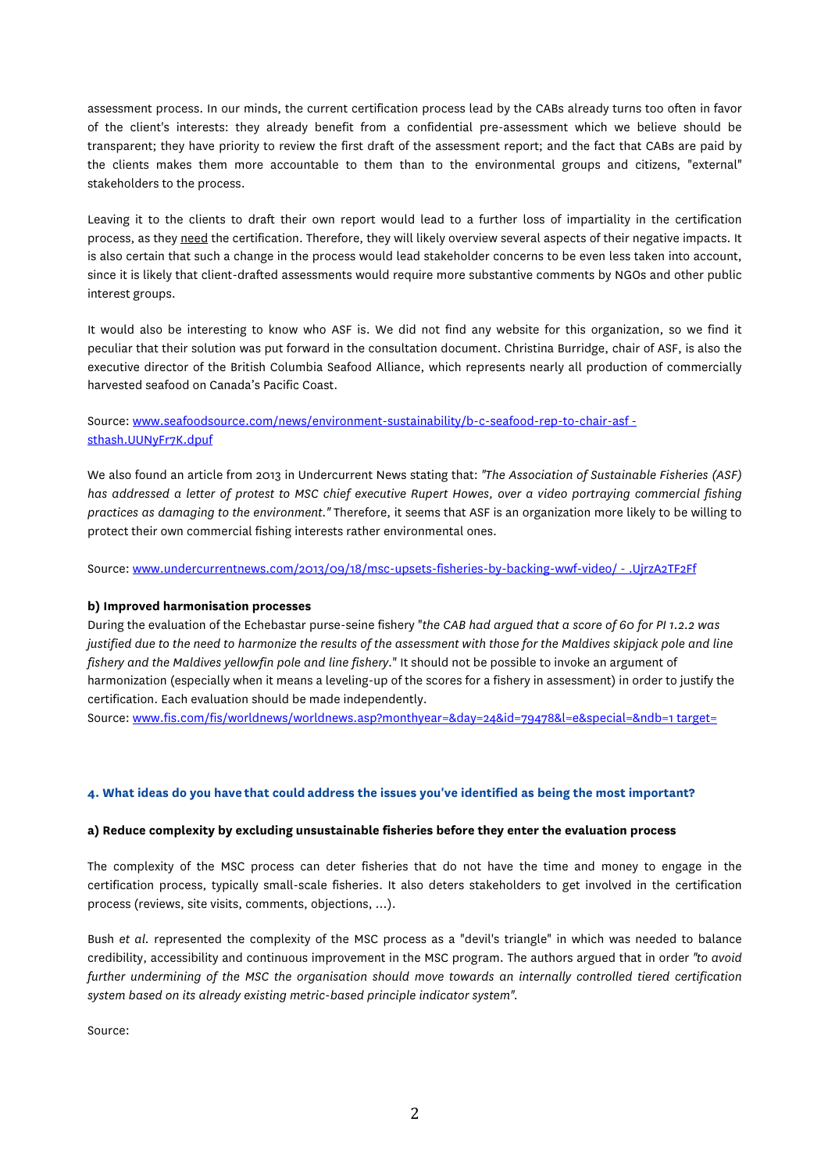assessment process. In our minds, the current certification process lead by the CABs already turns too often in favor of the client's interests: they already benefit from a confidential pre-assessment which we believe should be transparent; they have priority to review the first draft of the assessment report; and the fact that CABs are paid by the clients makes them more accountable to them than to the environmental groups and citizens, "external" stakeholders to the process.

Leaving it to the clients to draft their own report would lead to a further loss of impartiality in the certification process, as they need the certification. Therefore, they will likely overview several aspects of their negative impacts. It is also certain that such a change in the process would lead stakeholder concerns to be even less taken into account, since it is likely that client-drafted assessments would require more substantive comments by NGOs and other public interest groups.

It would also be interesting to know who ASF is. We did not find any website for this organization, so we find it peculiar that their solution was put forward in the consultation document. Christina Burridge, chair of ASF, is also the executive director of the British Columbia Seafood Alliance, which represents nearly all production of commercially harvested seafood on Canada's Pacific Coast.

# Source: www.seafoodsource.com/news/environment-sustainability/b-c-seafood-rep-to-chair-asf sthash.UUNyFr7K.dpuf

We also found an article from 2013 in Undercurrent News stating that: *"The Association of Sustainable Fisheries (ASF) has addressed a letter of protest to MSC chief executive Rupert Howes, over a video portraying commercial fishing practices as damaging to the environment."* Therefore, it seems that ASF is an organization more likely to be willing to protect their own commercial fishing interests rather environmental ones.

Source: www.undercurrentnews.com/2013/09/18/msc-upsets-fisheries-by-backing-wwf-video/ - .UjrzA2TF2Ff

## **b) Improved harmonisation processes**

During the evaluation of the Echebastar purse-seine fishery "*the CAB had argued that a score of 60 for PI 1.2.2 was justified due to the need to harmonize the results of the assessment with those for the Maldives skipjack pole and line fishery and the Maldives yellowfin pole and line fishery.*" It should not be possible to invoke an argument of harmonization (especially when it means a leveling-up of the scores for a fishery in assessment) in order to justify the certification. Each evaluation should be made independently.

Source: www.fis.com/fis/worldnews/worldnews.asp?monthyear=&day=24&id=79478&l=e&special=&ndb=1 target=

## **4. What ideas do you have that could address the issues you've identified as being the most important?**

### **a) Reduce complexity by excluding unsustainable fisheries before they enter the evaluation process**

The complexity of the MSC process can deter fisheries that do not have the time and money to engage in the certification process, typically small-scale fisheries. It also deters stakeholders to get involved in the certification process (reviews, site visits, comments, objections, …).

Bush *et al.* represented the complexity of the MSC process as a "devil's triangle" in which was needed to balance credibility, accessibility and continuous improvement in the MSC program. The authors argued that in order *"to avoid further undermining of the MSC the organisation should move towards an internally controlled tiered certification system based on its already existing metric-based principle indicator system".*

Source: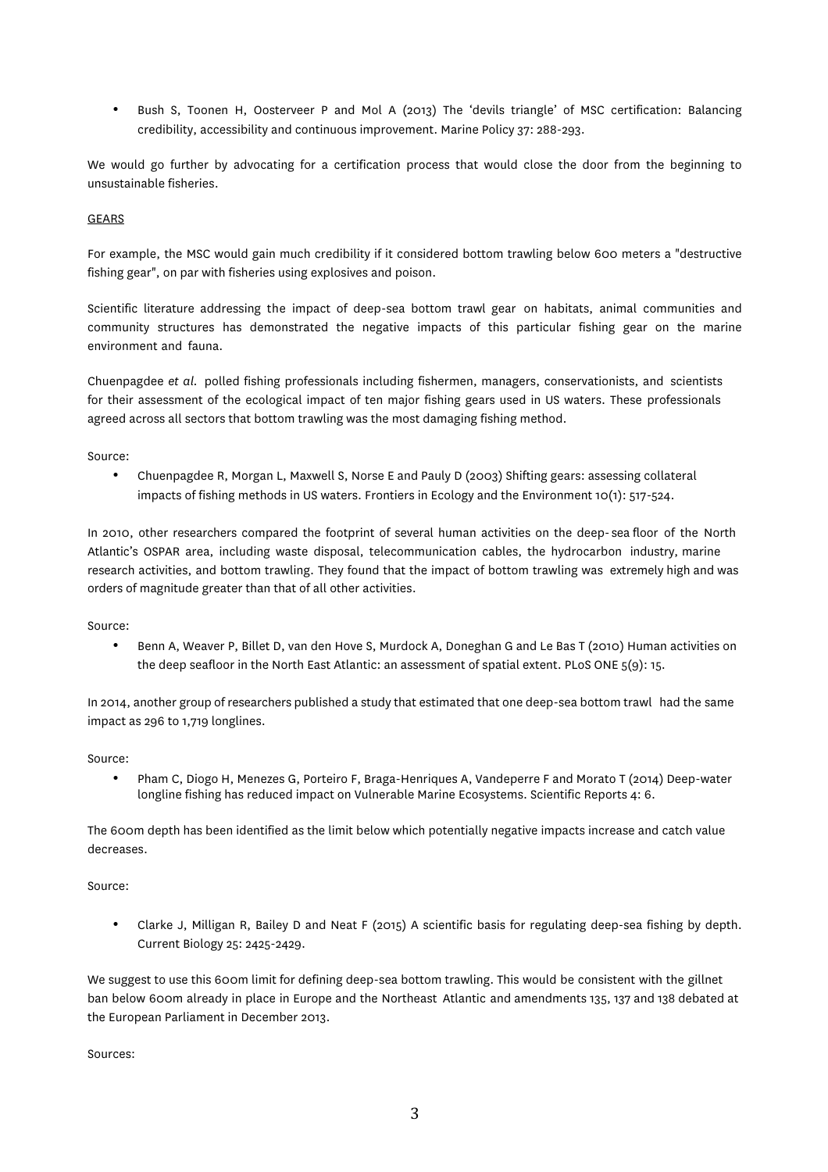• Bush S, Toonen H, Oosterveer P and Mol A (2013) The 'devils triangle' of MSC certification: Balancing credibility, accessibility and continuous improvement. Marine Policy 37: 288-293.

We would go further by advocating for a certification process that would close the door from the beginning to unsustainable fisheries.

### GEARS

For example, the MSC would gain much credibility if it considered bottom trawling below 600 meters a "destructive fishing gear", on par with fisheries using explosives and poison.

Scientific literature addressing the impact of deep-sea bottom trawl gear on habitats, animal communities and community structures has demonstrated the negative impacts of this particular fishing gear on the marine environment and fauna.

Chuenpagdee *et al.* polled fishing professionals including fishermen, managers, conservationists, and scientists for their assessment of the ecological impact of ten major fishing gears used in US waters. These professionals agreed across all sectors that bottom trawling was the most damaging fishing method.

Source:

• Chuenpagdee R, Morgan L, Maxwell S, Norse E and Pauly D (2003) Shifting gears: assessing collateral impacts of fishing methods in US waters. Frontiers in Ecology and the Environment 10(1): 517-524.

In 2010, other researchers compared the footprint of several human activities on the deep- sea floor of the North Atlantic's OSPAR area, including waste disposal, telecommunication cables, the hydrocarbon industry, marine research activities, and bottom trawling. They found that the impact of bottom trawling was extremely high and was orders of magnitude greater than that of all other activities.

Source:

• Benn A, Weaver P, Billet D, van den Hove S, Murdock A, Doneghan G and Le Bas T (2010) Human activities on the deep seafloor in the North East Atlantic: an assessment of spatial extent. PLoS ONE 5(9): 15.

In 2014, another group of researchers published a study that estimated that one deep-sea bottom trawl had the same impact as 296 to 1,719 longlines.

Source:

• Pham C, Diogo H, Menezes G, Porteiro F, Braga-Henriques A, Vandeperre F and Morato T (2014) Deep-water longline fishing has reduced impact on Vulnerable Marine Ecosystems. Scientific Reports 4: 6.

The 600m depth has been identified as the limit below which potentially negative impacts increase and catch value decreases.

Source:

• Clarke J, Milligan R, Bailey D and Neat F (2015) A scientific basis for regulating deep-sea fishing by depth. Current Biology 25: 2425-2429.

We suggest to use this 600m limit for defining deep-sea bottom trawling. This would be consistent with the gillnet ban below 600m already in place in Europe and the Northeast Atlantic and amendments 135, 137 and 138 debated at the European Parliament in December 2013.

Sources: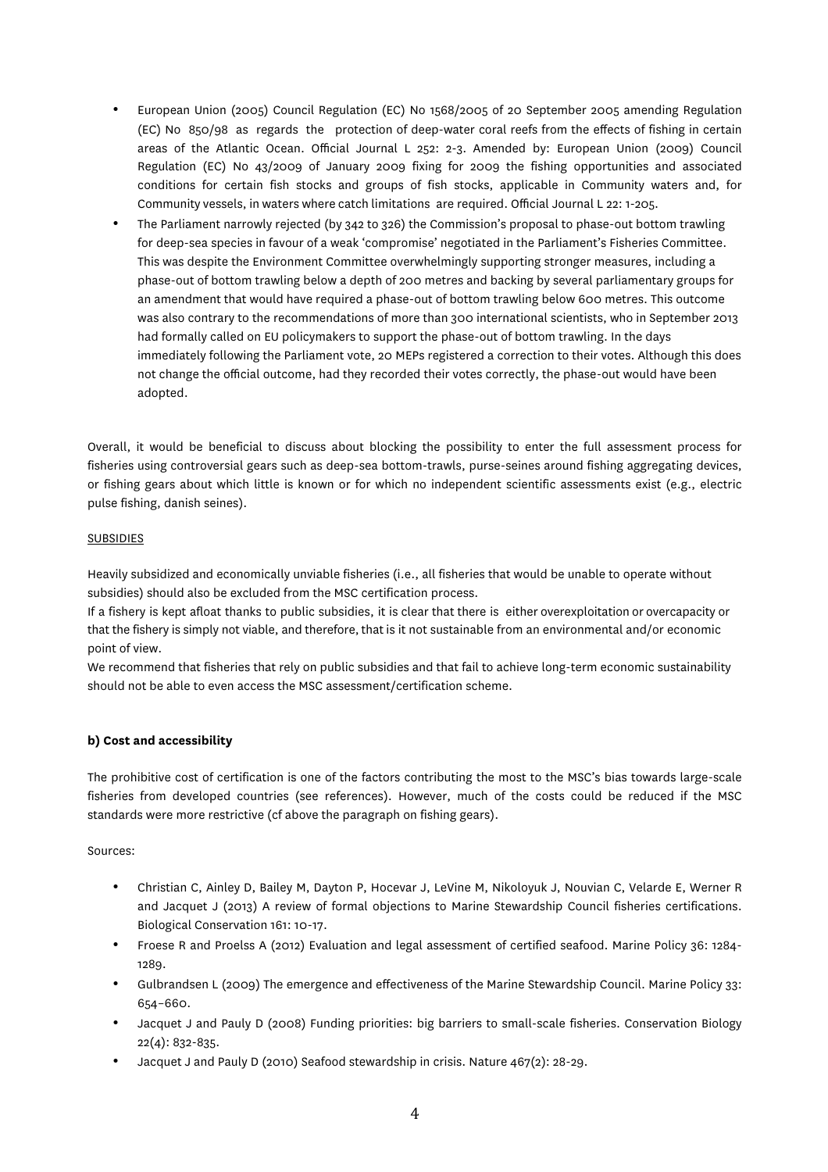- European Union (2005) Council Regulation (EC) No 1568/2005 of 20 September 2005 amending Regulation (EC) No 850/98 as regards the protection of deep-water coral reefs from the effects of fishing in certain areas of the Atlantic Ocean. Official Journal L 252: 2-3. Amended by: European Union (2009) Council Regulation (EC) No 43/2009 of January 2009 fixing for 2009 the fishing opportunities and associated conditions for certain fish stocks and groups of fish stocks, applicable in Community waters and, for Community vessels, in waters where catch limitations are required. Official Journal L 22: 1-205.
- The Parliament narrowly rejected (by 342 to 326) the Commission's proposal to phase-out bottom trawling for deep-sea species in favour of a weak 'compromise' negotiated in the Parliament's Fisheries Committee. This was despite the Environment Committee overwhelmingly supporting stronger measures, including a phase-out of bottom trawling below a depth of 200 metres and backing by several parliamentary groups for an amendment that would have required a phase-out of bottom trawling below 600 metres. This outcome was also contrary to the recommendations of more than 300 international scientists, who in September 2013 had formally called on EU policymakers to support the phase-out of bottom trawling. In the days immediately following the Parliament vote, 20 MEPs registered a correction to their votes. Although this does not change the official outcome, had they recorded their votes correctly, the phase-out would have been adopted.

Overall, it would be beneficial to discuss about blocking the possibility to enter the full assessment process for fisheries using controversial gears such as deep-sea bottom-trawls, purse-seines around fishing aggregating devices, or fishing gears about which little is known or for which no independent scientific assessments exist (e.g., electric pulse fishing, danish seines).

## SUBSIDIES

Heavily subsidized and economically unviable fisheries (i.e., all fisheries that would be unable to operate without subsidies) should also be excluded from the MSC certification process.

If a fishery is kept afloat thanks to public subsidies, it is clear that there is either overexploitation or overcapacity or that the fishery is simply not viable, and therefore, that is it not sustainable from an environmental and/or economic point of view.

We recommend that fisheries that rely on public subsidies and that fail to achieve long-term economic sustainability should not be able to even access the MSC assessment/certification scheme.

# **b) Cost and accessibility**

The prohibitive cost of certification is one of the factors contributing the most to the MSC's bias towards large-scale fisheries from developed countries (see references). However, much of the costs could be reduced if the MSC standards were more restrictive (cf above the paragraph on fishing gears).

Sources:

- Christian C, Ainley D, Bailey M, Dayton P, Hocevar J, LeVine M, Nikoloyuk J, Nouvian C, Velarde E, Werner R and Jacquet J (2013) A review of formal objections to Marine Stewardship Council fisheries certifications. Biological Conservation 161: 10-17.
- Froese R and Proelss A (2012) Evaluation and legal assessment of certified seafood. Marine Policy 36: 1284- 1289.
- Gulbrandsen L (2009) The emergence and effectiveness of the Marine Stewardship Council. Marine Policy 33: 654–660.
- Jacquet J and Pauly D (2008) Funding priorities: big barriers to small-scale fisheries. Conservation Biology 22(4): 832-835.
- Jacquet J and Pauly D (2010) Seafood stewardship in crisis. Nature 467(2): 28-29.